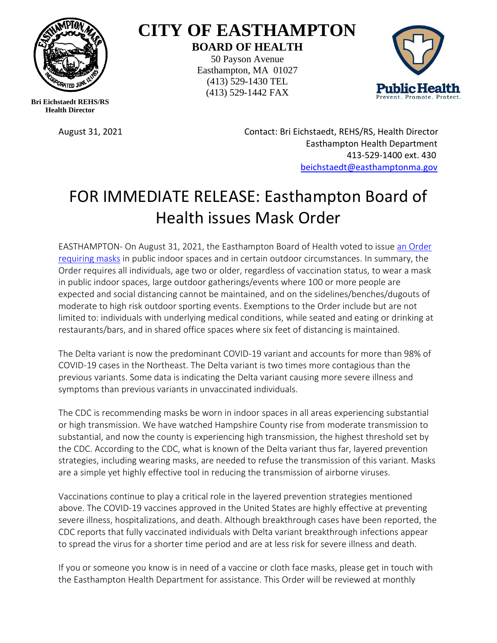

## **CITY OF EASTHAMPTON BOARD OF HEALTH**

50 Payson Avenue Easthampton, MA 01027 (413) 529-1430 TEL (413) 529-1442 FAX



**Bri Eichstaedt REHS/RS Health Director**

August 31, 2021 Contact: Bri Eichstaedt, REHS/RS, Health Director Easthampton Health Department 413-529-1400 ext. 430 [beichstaedt@easthamptonma.gov](mailto:beichstaedt@easthamptonma.gov)

## FOR IMMEDIATE RELEASE: Easthampton Board of Health issues Mask Order

EASTHAMPTON- On August 31, 2021, the Easthampton Board of Health voted to issue [an Order](https://easthamptonma.gov/DocumentCenter/View/2596/BOH-Mask-Order-2021)  [requiring masks](https://easthamptonma.gov/DocumentCenter/View/2596/BOH-Mask-Order-2021) in public indoor spaces and in certain outdoor circumstances. In summary, the Order requires all individuals, age two or older, regardless of vaccination status, to wear a mask in public indoor spaces, large outdoor gatherings/events where 100 or more people are expected and social distancing cannot be maintained, and on the sidelines/benches/dugouts of moderate to high risk outdoor sporting events. Exemptions to the Order include but are not limited to: individuals with underlying medical conditions, while seated and eating or drinking at restaurants/bars, and in shared office spaces where six feet of distancing is maintained.

The Delta variant is now the predominant COVID-19 variant and accounts for more than 98% of COVID-19 cases in the Northeast. The Delta variant is two times more contagious than the previous variants. Some data is indicating the Delta variant causing more severe illness and symptoms than previous variants in unvaccinated individuals.

The CDC is recommending masks be worn in indoor spaces in all areas experiencing substantial or high transmission. We have watched Hampshire County rise from moderate transmission to substantial, and now the county is experiencing high transmission, the highest threshold set by the CDC. According to the CDC, what is known of the Delta variant thus far, layered prevention strategies, including wearing masks, are needed to refuse the transmission of this variant. Masks are a simple yet highly effective tool in reducing the transmission of airborne viruses.

Vaccinations continue to play a critical role in the layered prevention strategies mentioned above. The COVID-19 vaccines approved in the United States are highly effective at preventing severe illness, hospitalizations, and death. Although breakthrough cases have been reported, the CDC reports that fully vaccinated individuals with Delta variant breakthrough infections appear to spread the virus for a shorter time period and are at less risk for severe illness and death.

If you or someone you know is in need of a vaccine or cloth face masks, please get in touch with the Easthampton Health Department for assistance. This Order will be reviewed at monthly